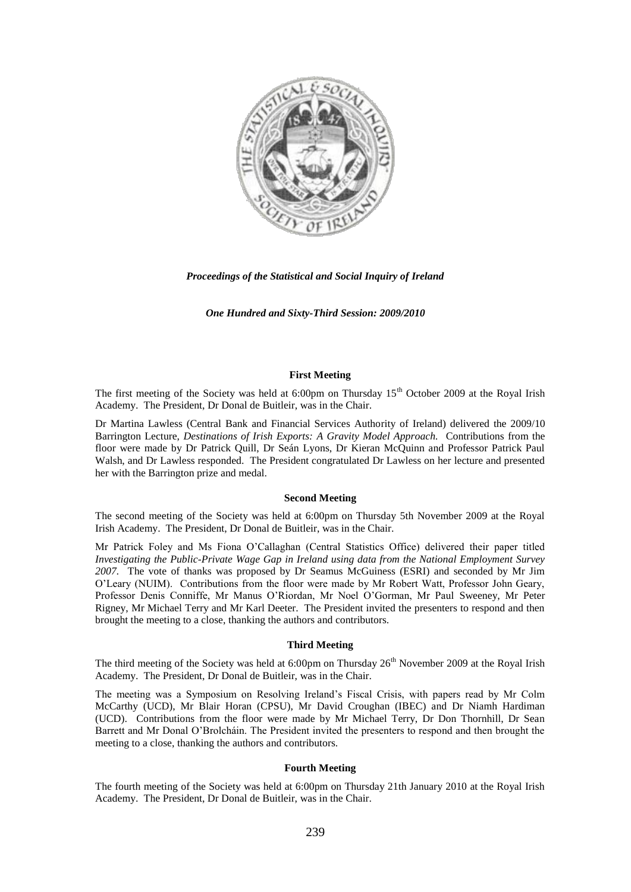

*Proceedings of the Statistical and Social Inquiry of Ireland*

*One Hundred and Sixty-Third Session: 2009/2010*

### **First Meeting**

The first meeting of the Society was held at 6:00pm on Thursday  $15<sup>th</sup>$  October 2009 at the Royal Irish Academy. The President, Dr Donal de Buitleir, was in the Chair.

Dr Martina Lawless (Central Bank and Financial Services Authority of Ireland) delivered the 2009/10 Barrington Lecture, *Destinations of Irish Exports: A Gravity Model Approach.* Contributions from the floor were made by Dr Patrick Quill, Dr Seán Lyons, Dr Kieran McQuinn and Professor Patrick Paul Walsh, and Dr Lawless responded. The President congratulated Dr Lawless on her lecture and presented her with the Barrington prize and medal.

#### **Second Meeting**

The second meeting of the Society was held at 6:00pm on Thursday 5th November 2009 at the Royal Irish Academy. The President, Dr Donal de Buitleir, was in the Chair.

Mr Patrick Foley and Ms Fiona O"Callaghan (Central Statistics Office) delivered their paper titled *Investigating the Public-Private Wage Gap in Ireland using data from the National Employment Survey 2007.* The vote of thanks was proposed by Dr Seamus McGuiness (ESRI) and seconded by Mr Jim O"Leary (NUIM). Contributions from the floor were made by Mr Robert Watt, Professor John Geary, Professor Denis Conniffe, Mr Manus O"Riordan, Mr Noel O"Gorman, Mr Paul Sweeney, Mr Peter Rigney, Mr Michael Terry and Mr Karl Deeter. The President invited the presenters to respond and then brought the meeting to a close, thanking the authors and contributors.

# **Third Meeting**

The third meeting of the Society was held at 6:00pm on Thursday 26<sup>th</sup> November 2009 at the Royal Irish Academy. The President, Dr Donal de Buitleir, was in the Chair.

The meeting was a Symposium on Resolving Ireland"s Fiscal Crisis, with papers read by Mr Colm McCarthy (UCD), Mr Blair Horan (CPSU), Mr David Croughan (IBEC) and Dr Niamh Hardiman (UCD). Contributions from the floor were made by Mr Michael Terry, Dr Don Thornhill, Dr Sean Barrett and Mr Donal O"Brolcháin. The President invited the presenters to respond and then brought the meeting to a close, thanking the authors and contributors.

#### **Fourth Meeting**

The fourth meeting of the Society was held at 6:00pm on Thursday 21th January 2010 at the Royal Irish Academy. The President, Dr Donal de Buitleir, was in the Chair.